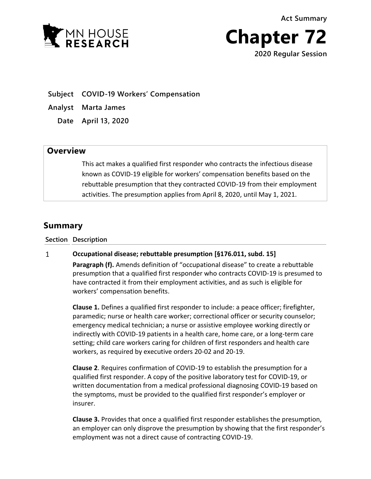**Act Summary**



**Chapter 72 2020 Regular Session**

**Subject COVID-19 Workers' Compensation**

**Analyst Marta James**

**Date April 13, 2020**

## **Overview**

This act makes a qualified first responder who contracts the infectious disease known as COVID-19 eligible for workers' compensation benefits based on the rebuttable presumption that they contracted COVID-19 from their employment activities. The presumption applies from April 8, 2020, until May 1, 2021.

# **Summary**

### **Section Description**

#### **Occupational disease; rebuttable presumption [§176.011, subd. 15]**  $\mathbf{1}$

**Paragraph (f).** Amends definition of "occupational disease" to create a rebuttable presumption that a qualified first responder who contracts COVID-19 is presumed to have contracted it from their employment activities, and as such is eligible for workers' compensation benefits.

**Clause 1.** Defines a qualified first responder to include: a peace officer; firefighter, paramedic; nurse or health care worker; correctional officer or security counselor; emergency medical technician; a nurse or assistive employee working directly or indirectly with COVID-19 patients in a health care, home care, or a long-term care setting; child care workers caring for children of first responders and health care workers, as required by executive orders 20-02 and 20-19.

**Clause 2**. Requires confirmation of COVID-19 to establish the presumption for a qualified first responder. A copy of the positive laboratory test for COVID-19, or written documentation from a medical professional diagnosing COVID-19 based on the symptoms, must be provided to the qualified first responder's employer or insurer.

**Clause 3.** Provides that once a qualified first responder establishes the presumption, an employer can only disprove the presumption by showing that the first responder's employment was not a direct cause of contracting COVID-19.